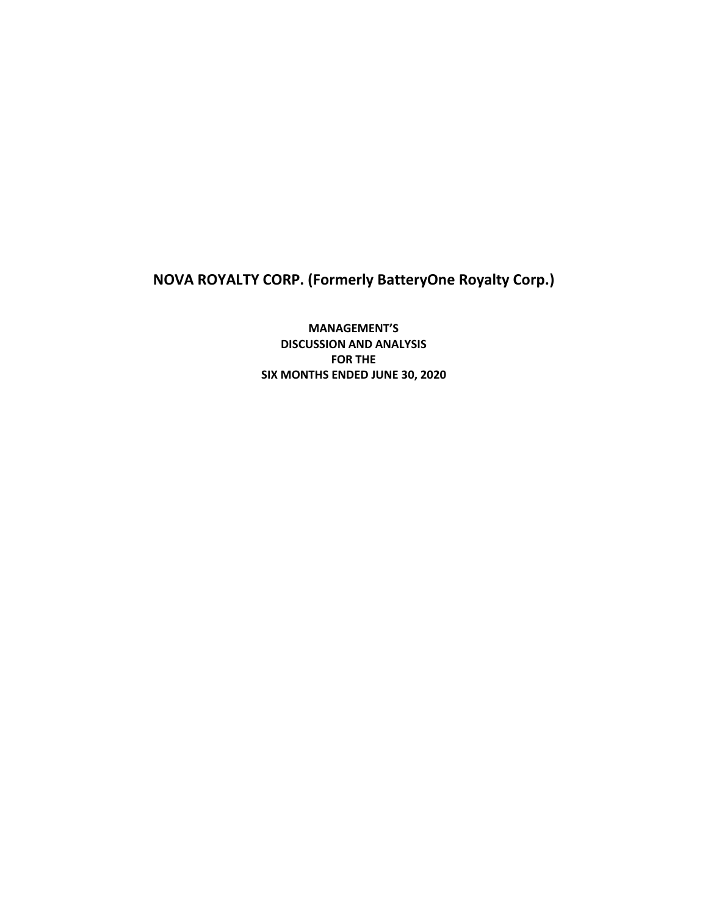**NOVA ROYALTY CORP. (Formerly BatteryOne Royalty Corp.)**

**MANAGEMENT'S DISCUSSION AND ANALYSIS FOR THE SIX MONTHS ENDED JUNE 30, 2020**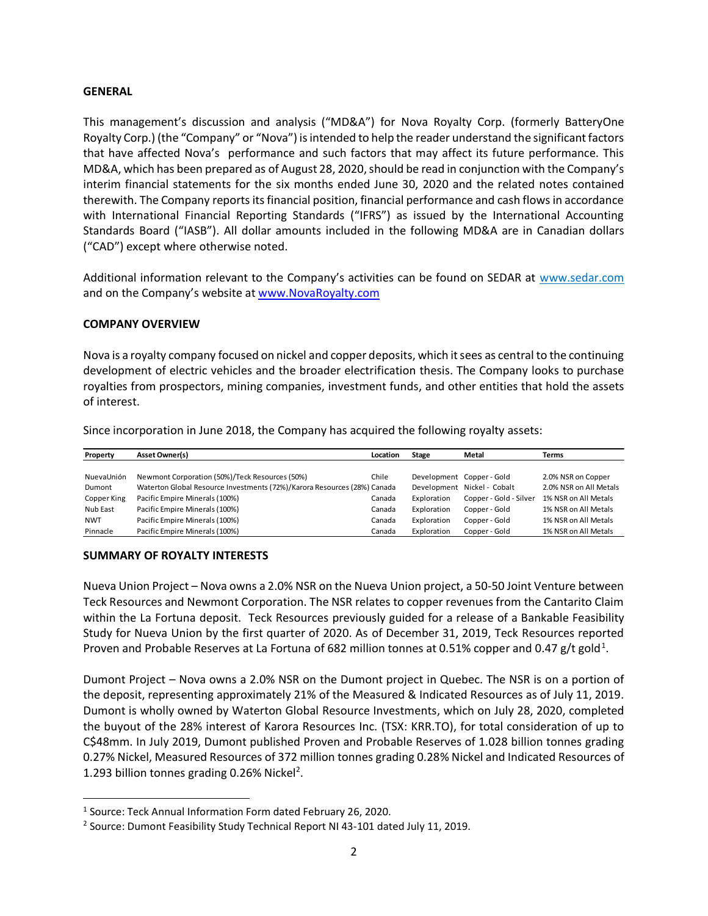#### **GENERAL**

This management's discussion and analysis ("MD&A") for Nova Royalty Corp. (formerly BatteryOne Royalty Corp.) (the "Company" or "Nova") is intended to help the reader understand the significant factors that have affected Nova's performance and such factors that may affect its future performance. This MD&A, which has been prepared as of August 28, 2020, should be read in conjunction with the Company's interim financial statements for the six months ended June 30, 2020 and the related notes contained therewith. The Company reports its financial position, financial performance and cash flows in accordance with International Financial Reporting Standards ("IFRS") as issued by the International Accounting Standards Board ("IASB"). All dollar amounts included in the following MD&A are in Canadian dollars ("CAD") except where otherwise noted.

Additional information relevant to the Company's activities can be found on SEDAR at [www.sedar.com](http://www.sedar.com/) and on the Company's website a[t www.NovaRoyalty.com](http://www.novaroyalty.com/)

### **COMPANY OVERVIEW**

Nova is a royalty company focused on nickel and copper deposits, which it sees as central to the continuing development of electric vehicles and the broader electrification thesis. The Company looks to purchase royalties from prospectors, mining companies, investment funds, and other entities that hold the assets of interest.

Since incorporation in June 2018, the Company has acquired the following royalty assets:

| Property    | <b>Asset Owner(s)</b>                                                    | Location | <b>Stage</b> | Metal                       | <b>Terms</b>           |
|-------------|--------------------------------------------------------------------------|----------|--------------|-----------------------------|------------------------|
|             |                                                                          |          |              |                             |                        |
| NuevaUnión  | Newmont Corporation (50%)/Teck Resources (50%)                           | Chile    |              | Development Copper - Gold   | 2.0% NSR on Copper     |
| Dumont      | Waterton Global Resource Investments (72%)/Karora Resources (28%) Canada |          |              | Development Nickel - Cobalt | 2.0% NSR on All Metals |
| Copper King | Pacific Empire Minerals (100%)                                           | Canada   | Exploration  | Copper - Gold - Silver      | 1% NSR on All Metals   |
| Nub East    | Pacific Empire Minerals (100%)                                           | Canada   | Exploration  | Copper - Gold               | 1% NSR on All Metals   |
| <b>NWT</b>  | Pacific Empire Minerals (100%)                                           | Canada   | Exploration  | Copper - Gold               | 1% NSR on All Metals   |
| Pinnacle    | Pacific Empire Minerals (100%)                                           | Canada   | Exploration  | Copper - Gold               | 1% NSR on All Metals   |

## **SUMMARY OF ROYALTY INTERESTS**

Nueva Union Project – Nova owns a 2.0% NSR on the Nueva Union project, a 50-50 Joint Venture between Teck Resources and Newmont Corporation. The NSR relates to copper revenues from the Cantarito Claim within the La Fortuna deposit. Teck Resources previously guided for a release of a Bankable Feasibility Study for Nueva Union by the first quarter of 2020. As of December 31, 2019, Teck Resources reported Proven and Probable Reserves at La Fortuna of 682 million tonnes at 0.51% copper and 0.47 g/t gold<sup>1</sup>.

Dumont Project – Nova owns a 2.0% NSR on the Dumont project in Quebec. The NSR is on a portion of the deposit, representing approximately 21% of the Measured & Indicated Resources as of July 11, 2019. Dumont is wholly owned by Waterton Global Resource Investments, which on July 28, 2020, completed the buyout of the 28% interest of Karora Resources Inc. (TSX: KRR.TO), for total consideration of up to C\$48mm. In July 2019, Dumont published Proven and Probable Reserves of 1.028 billion tonnes grading 0.27% Nickel, Measured Resources of 372 million tonnes grading 0.28% Nickel and Indicated Resources of 1.293 billion tonnes grading 0.26% Nickel<sup>2</sup>.

<sup>&</sup>lt;sup>1</sup> Source: Teck Annual Information Form dated February 26, 2020.

<sup>&</sup>lt;sup>2</sup> Source: Dumont Feasibility Study Technical Report NI 43-101 dated July 11, 2019.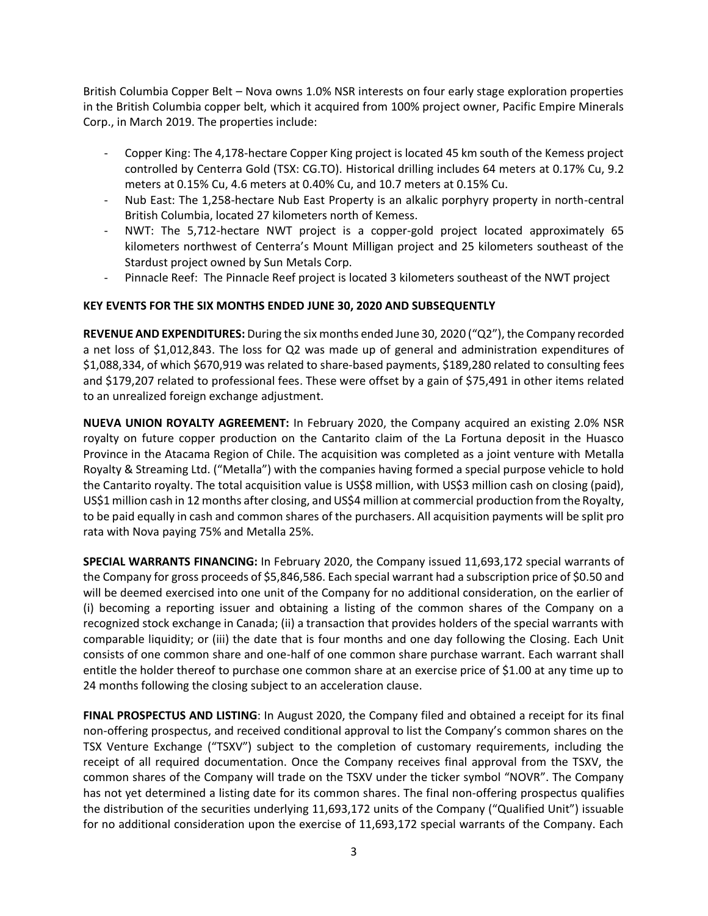British Columbia Copper Belt – Nova owns 1.0% NSR interests on four early stage exploration properties in the British Columbia copper belt, which it acquired from 100% project owner, Pacific Empire Minerals Corp., in March 2019. The properties include:

- Copper King: The 4,178-hectare Copper King project is located 45 km south of the Kemess project controlled by Centerra Gold (TSX: CG.TO). Historical drilling includes 64 meters at 0.17% Cu, 9.2 meters at 0.15% Cu, 4.6 meters at 0.40% Cu, and 10.7 meters at 0.15% Cu.
- Nub East: The 1,258-hectare Nub East Property is an alkalic porphyry property in north-central British Columbia, located 27 kilometers north of Kemess.
- NWT: The 5,712-hectare NWT project is a copper-gold project located approximately 65 kilometers northwest of Centerra's Mount Milligan project and 25 kilometers southeast of the Stardust project owned by Sun Metals Corp.
- Pinnacle Reef: The Pinnacle Reef project is located 3 kilometers southeast of the NWT project

# **KEY EVENTS FOR THE SIX MONTHS ENDED JUNE 30, 2020 AND SUBSEQUENTLY**

**REVENUE AND EXPENDITURES:** During the six months ended June 30, 2020 ("Q2"), the Company recorded a net loss of \$1,012,843. The loss for Q2 was made up of general and administration expenditures of \$1,088,334, of which \$670,919 was related to share-based payments, \$189,280 related to consulting fees and \$179,207 related to professional fees. These were offset by a gain of \$75,491 in other items related to an unrealized foreign exchange adjustment.

**NUEVA UNION ROYALTY AGREEMENT:** In February 2020, the Company acquired an existing 2.0% NSR royalty on future copper production on the Cantarito claim of the La Fortuna deposit in the Huasco Province in the Atacama Region of Chile. The acquisition was completed as a joint venture with Metalla Royalty & Streaming Ltd. ("Metalla") with the companies having formed a special purpose vehicle to hold the Cantarito royalty. The total acquisition value is US\$8 million, with US\$3 million cash on closing (paid), US\$1 million cash in 12 months after closing, and US\$4 million at commercial production from the Royalty, to be paid equally in cash and common shares of the purchasers. All acquisition payments will be split pro rata with Nova paying 75% and Metalla 25%.

**SPECIAL WARRANTS FINANCING:** In February 2020, the Company issued 11,693,172 special warrants of the Company for gross proceeds of \$5,846,586. Each special warrant had a subscription price of \$0.50 and will be deemed exercised into one unit of the Company for no additional consideration, on the earlier of (i) becoming a reporting issuer and obtaining a listing of the common shares of the Company on a recognized stock exchange in Canada; (ii) a transaction that provides holders of the special warrants with comparable liquidity; or (iii) the date that is four months and one day following the Closing. Each Unit consists of one common share and one-half of one common share purchase warrant. Each warrant shall entitle the holder thereof to purchase one common share at an exercise price of \$1.00 at any time up to 24 months following the closing subject to an acceleration clause.

**FINAL PROSPECTUS AND LISTING**: In August 2020, the Company filed and obtained a receipt for its final non-offering prospectus, and received conditional approval to list the Company's common shares on the TSX Venture Exchange ("TSXV") subject to the completion of customary requirements, including the receipt of all required documentation. Once the Company receives final approval from the TSXV, the common shares of the Company will trade on the TSXV under the ticker symbol "NOVR". The Company has not yet determined a listing date for its common shares. The final non-offering prospectus qualifies the distribution of the securities underlying 11,693,172 units of the Company ("Qualified Unit") issuable for no additional consideration upon the exercise of 11,693,172 special warrants of the Company. Each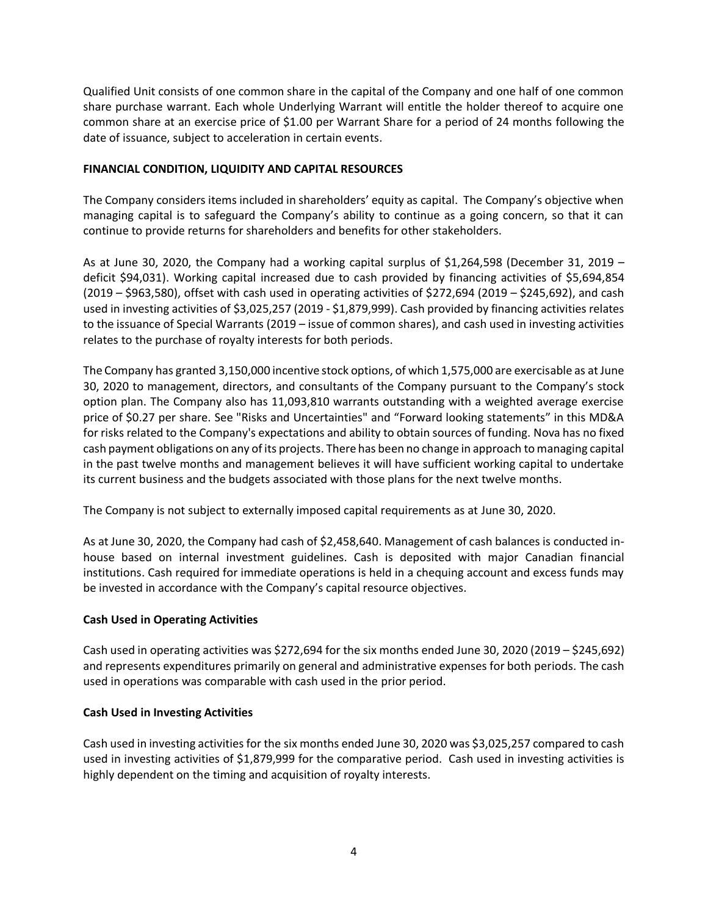Qualified Unit consists of one common share in the capital of the Company and one half of one common share purchase warrant. Each whole Underlying Warrant will entitle the holder thereof to acquire one common share at an exercise price of \$1.00 per Warrant Share for a period of 24 months following the date of issuance, subject to acceleration in certain events.

# **FINANCIAL CONDITION, LIQUIDITY AND CAPITAL RESOURCES**

The Company considers items included in shareholders' equity as capital. The Company's objective when managing capital is to safeguard the Company's ability to continue as a going concern, so that it can continue to provide returns for shareholders and benefits for other stakeholders.

As at June 30, 2020, the Company had a working capital surplus of \$1,264,598 (December 31, 2019 – deficit \$94,031). Working capital increased due to cash provided by financing activities of \$5,694,854  $(2019 - $963,580)$ , offset with cash used in operating activities of \$272,694 (2019 – \$245,692), and cash used in investing activities of \$3,025,257 (2019 - \$1,879,999). Cash provided by financing activities relates to the issuance of Special Warrants (2019 – issue of common shares), and cash used in investing activities relates to the purchase of royalty interests for both periods.

The Company has granted 3,150,000 incentive stock options, of which 1,575,000 are exercisable as at June 30, 2020 to management, directors, and consultants of the Company pursuant to the Company's stock option plan. The Company also has 11,093,810 warrants outstanding with a weighted average exercise price of \$0.27 per share. See "Risks and Uncertainties" and "Forward looking statements" in this MD&A for risks related to the Company's expectations and ability to obtain sources of funding. Nova has no fixed cash payment obligations on any of its projects. There has been no change in approach to managing capital in the past twelve months and management believes it will have sufficient working capital to undertake its current business and the budgets associated with those plans for the next twelve months.

The Company is not subject to externally imposed capital requirements as at June 30, 2020.

As at June 30, 2020, the Company had cash of \$2,458,640. Management of cash balances is conducted inhouse based on internal investment guidelines. Cash is deposited with major Canadian financial institutions. Cash required for immediate operations is held in a chequing account and excess funds may be invested in accordance with the Company's capital resource objectives.

## **Cash Used in Operating Activities**

Cash used in operating activities was \$272,694 for the six months ended June 30, 2020 (2019 – \$245,692) and represents expenditures primarily on general and administrative expenses for both periods. The cash used in operations was comparable with cash used in the prior period.

## **Cash Used in Investing Activities**

Cash used in investing activities for the six months ended June 30, 2020 was \$3,025,257 compared to cash used in investing activities of \$1,879,999 for the comparative period. Cash used in investing activities is highly dependent on the timing and acquisition of royalty interests.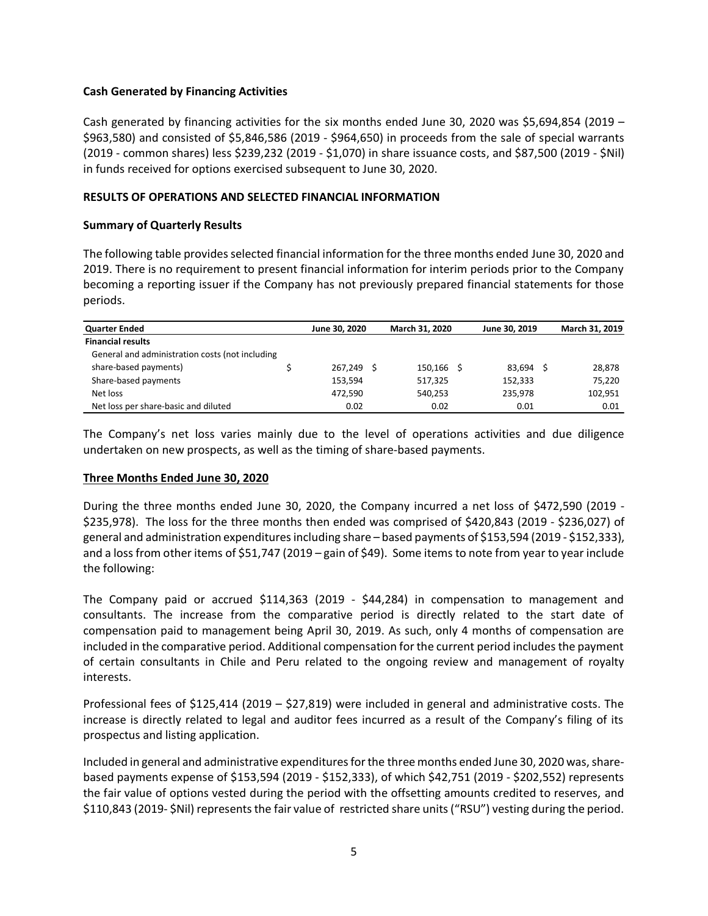### **Cash Generated by Financing Activities**

Cash generated by financing activities for the six months ended June 30, 2020 was \$5,694,854 (2019 – \$963,580) and consisted of \$5,846,586 (2019 - \$964,650) in proceeds from the sale of special warrants (2019 - common shares) less \$239,232 (2019 - \$1,070) in share issuance costs, and \$87,500 (2019 - \$Nil) in funds received for options exercised subsequent to June 30, 2020.

### **RESULTS OF OPERATIONS AND SELECTED FINANCIAL INFORMATION**

### **Summary of Quarterly Results**

The following table provides selected financial information for the three months ended June 30, 2020 and 2019. There is no requirement to present financial information for interim periods prior to the Company becoming a reporting issuer if the Company has not previously prepared financial statements for those periods.

| <b>Quarter Ended</b>                            | June 30, 2020 | March 31, 2020 | June 30, 2019 | March 31, 2019 |
|-------------------------------------------------|---------------|----------------|---------------|----------------|
| <b>Financial results</b>                        |               |                |               |                |
| General and administration costs (not including |               |                |               |                |
| share-based payments)                           | 267.249       | $150,166$ \$   | 83.694 \$     | 28,878         |
| Share-based payments                            | 153,594       | 517,325        | 152,333       | 75,220         |
| Net loss                                        | 472,590       | 540.253        | 235.978       | 102,951        |
| Net loss per share-basic and diluted            | 0.02          | 0.02           | 0.01          | 0.01           |

The Company's net loss varies mainly due to the level of operations activities and due diligence undertaken on new prospects, as well as the timing of share-based payments.

#### **Three Months Ended June 30, 2020**

During the three months ended June 30, 2020, the Company incurred a net loss of \$472,590 (2019 - \$235,978). The loss for the three months then ended was comprised of \$420,843 (2019 - \$236,027) of general and administration expenditures including share – based payments of \$153,594 (2019 - \$152,333), and a loss from other items of \$51,747 (2019 – gain of \$49). Some items to note from year to year include the following:

The Company paid or accrued \$114,363 (2019 - \$44,284) in compensation to management and consultants. The increase from the comparative period is directly related to the start date of compensation paid to management being April 30, 2019. As such, only 4 months of compensation are included in the comparative period. Additional compensation for the current period includes the payment of certain consultants in Chile and Peru related to the ongoing review and management of royalty interests.

Professional fees of \$125,414 (2019 – \$27,819) were included in general and administrative costs. The increase is directly related to legal and auditor fees incurred as a result of the Company's filing of its prospectus and listing application.

Included in general and administrative expenditures for the three months ended June 30, 2020 was, sharebased payments expense of \$153,594 (2019 - \$152,333), of which \$42,751 (2019 - \$202,552) represents the fair value of options vested during the period with the offsetting amounts credited to reserves, and \$110,843 (2019- \$Nil) represents the fair value of restricted share units ("RSU") vesting during the period.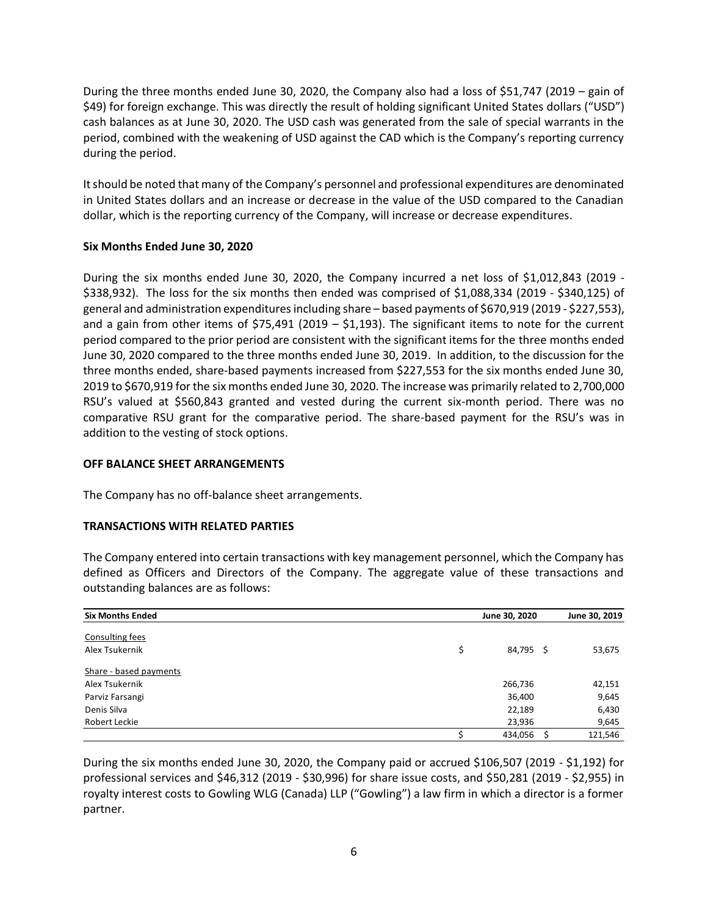During the three months ended June 30, 2020, the Company also had a loss of \$51,747 (2019 – gain of \$49) for foreign exchange. This was directly the result of holding significant United States dollars ("USD") cash balances as at June 30, 2020. The USD cash was generated from the sale of special warrants in the period, combined with the weakening of USD against the CAD which is the Company's reporting currency during the period.

It should be noted that many of the Company's personnel and professional expenditures are denominated in United States dollars and an increase or decrease in the value of the USD compared to the Canadian dollar, which is the reporting currency of the Company, will increase or decrease expenditures.

## **Six Months Ended June 30, 2020**

During the six months ended June 30, 2020, the Company incurred a net loss of \$1,012,843 (2019 - \$338,932). The loss for the six months then ended was comprised of \$1,088,334 (2019 - \$340,125) of general and administration expenditures including share – based payments of \$670,919 (2019 - \$227,553), and a gain from other items of \$75,491 (2019 – \$1,193). The significant items to note for the current period compared to the prior period are consistent with the significant items for the three months ended June 30, 2020 compared to the three months ended June 30, 2019. In addition, to the discussion for the three months ended, share-based payments increased from \$227,553 for the six months ended June 30, 2019 to \$670,919 for the six months ended June 30, 2020. The increase was primarily related to 2,700,000 RSU's valued at \$560,843 granted and vested during the current six-month period. There was no comparative RSU grant for the comparative period. The share-based payment for the RSU's was in addition to the vesting of stock options.

# **OFF BALANCE SHEET ARRANGEMENTS**

The Company has no off-balance sheet arrangements.

## **TRANSACTIONS WITH RELATED PARTIES**

The Company entered into certain transactions with key management personnel, which the Company has defined as Officers and Directors of the Company. The aggregate value of these transactions and outstanding balances are as follows:

| <b>Six Months Ended</b> | June 30, 2020   | June 30, 2019 |
|-------------------------|-----------------|---------------|
| <b>Consulting fees</b>  |                 |               |
| Alex Tsukernik          | \$<br>84,795 \$ | 53,675        |
| Share - based payments  |                 |               |
| Alex Tsukernik          | 266,736         | 42,151        |
| Parviz Farsangi         | 36,400          | 9,645         |
| Denis Silva             | 22,189          | 6,430         |
| Robert Leckie           | 23,936          | 9,645         |
|                         | 434,056         | 121,546       |

During the six months ended June 30, 2020, the Company paid or accrued \$106,507 (2019 - \$1,192) for professional services and \$46,312 (2019 - \$30,996) for share issue costs, and \$50,281 (2019 - \$2,955) in royalty interest costs to Gowling WLG (Canada) LLP ("Gowling") a law firm in which a director is a former partner.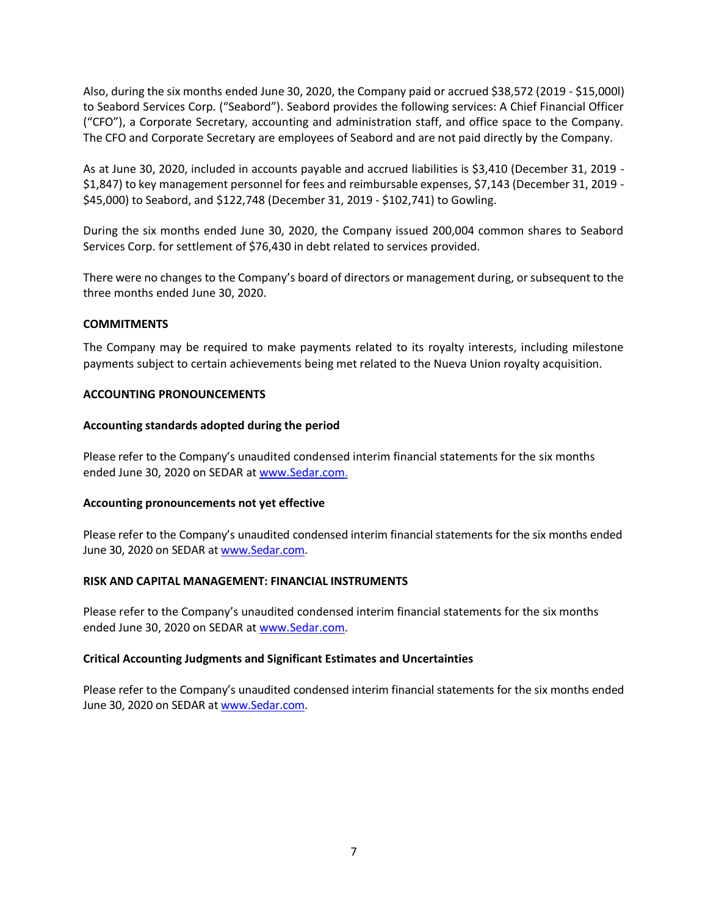Also, during the six months ended June 30, 2020, the Company paid or accrued \$38,572 (2019 - \$15,000l) to Seabord Services Corp. ("Seabord"). Seabord provides the following services: A Chief Financial Officer ("CFO"), a Corporate Secretary, accounting and administration staff, and office space to the Company. The CFO and Corporate Secretary are employees of Seabord and are not paid directly by the Company.

As at June 30, 2020, included in accounts payable and accrued liabilities is \$3,410 (December 31, 2019 - \$1,847) to key management personnel for fees and reimbursable expenses, \$7,143 (December 31, 2019 - \$45,000) to Seabord, and \$122,748 (December 31, 2019 - \$102,741) to Gowling.

During the six months ended June 30, 2020, the Company issued 200,004 common shares to Seabord Services Corp. for settlement of \$76,430 in debt related to services provided.

There were no changes to the Company's board of directors or management during, or subsequent to the three months ended June 30, 2020.

## **COMMITMENTS**

The Company may be required to make payments related to its royalty interests, including milestone payments subject to certain achievements being met related to the Nueva Union royalty acquisition.

### **ACCOUNTING PRONOUNCEMENTS**

### **Accounting standards adopted during the period**

Please refer to the Company's unaudited condensed interim financial statements for the six months ended June 30, 2020 on SEDAR at [www.Sedar.com.](http://www.sedar.com/)

#### **Accounting pronouncements not yet effective**

Please refer to the Company's unaudited condensed interim financial statements for the six months ended June 30, 2020 on SEDAR at [www.Sedar.com.](http://www.sedar.com/)

#### **RISK AND CAPITAL MANAGEMENT: FINANCIAL INSTRUMENTS**

Please refer to the Company's unaudited condensed interim financial statements for the six months ended June 30, 2020 on SEDAR at [www.Sedar.com.](http://www.sedar.com/)

#### **Critical Accounting Judgments and Significant Estimates and Uncertainties**

Please refer to the Company's unaudited condensed interim financial statements for the six months ended June 30, 2020 on SEDAR at [www.Sedar.com.](http://www.sedar.com/)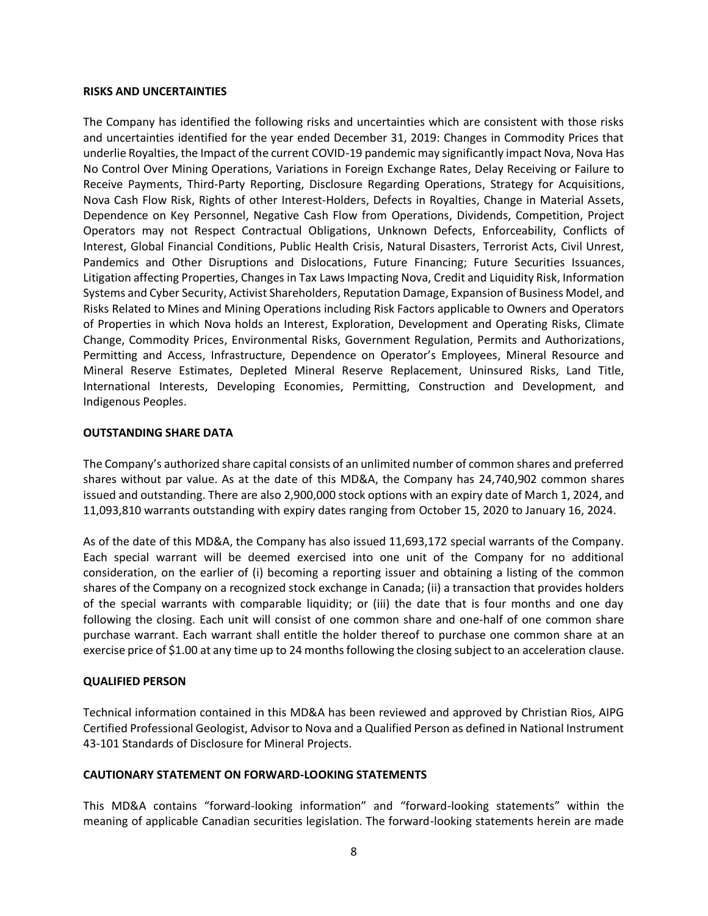#### **RISKS AND UNCERTAINTIES**

The Company has identified the following risks and uncertainties which are consistent with those risks and uncertainties identified for the year ended December 31, 2019: Changes in Commodity Prices that underlie Royalties, the Impact of the current COVID-19 pandemic may significantly impact Nova, Nova Has No Control Over Mining Operations, Variations in Foreign Exchange Rates, Delay Receiving or Failure to Receive Payments, Third-Party Reporting, Disclosure Regarding Operations, Strategy for Acquisitions, Nova Cash Flow Risk, Rights of other Interest-Holders, Defects in Royalties, Change in Material Assets, Dependence on Key Personnel, Negative Cash Flow from Operations, Dividends, Competition, Project Operators may not Respect Contractual Obligations, Unknown Defects, Enforceability, Conflicts of Interest, Global Financial Conditions, Public Health Crisis, Natural Disasters, Terrorist Acts, Civil Unrest, Pandemics and Other Disruptions and Dislocations, Future Financing; Future Securities Issuances, Litigation affecting Properties, Changes in Tax Laws Impacting Nova, Credit and Liquidity Risk, Information Systems and Cyber Security, Activist Shareholders, Reputation Damage, Expansion of Business Model, and Risks Related to Mines and Mining Operations including Risk Factors applicable to Owners and Operators of Properties in which Nova holds an Interest, Exploration, Development and Operating Risks, Climate Change, Commodity Prices, Environmental Risks, Government Regulation, Permits and Authorizations, Permitting and Access, Infrastructure, Dependence on Operator's Employees, Mineral Resource and Mineral Reserve Estimates, Depleted Mineral Reserve Replacement, Uninsured Risks, Land Title, International Interests, Developing Economies, Permitting, Construction and Development, and Indigenous Peoples.

## **OUTSTANDING SHARE DATA**

The Company's authorized share capital consists of an unlimited number of common shares and preferred shares without par value. As at the date of this MD&A, the Company has 24,740,902 common shares issued and outstanding. There are also 2,900,000 stock options with an expiry date of March 1, 2024, and 11,093,810 warrants outstanding with expiry dates ranging from October 15, 2020 to January 16, 2024.

As of the date of this MD&A, the Company has also issued 11,693,172 special warrants of the Company. Each special warrant will be deemed exercised into one unit of the Company for no additional consideration, on the earlier of (i) becoming a reporting issuer and obtaining a listing of the common shares of the Company on a recognized stock exchange in Canada; (ii) a transaction that provides holders of the special warrants with comparable liquidity; or (iii) the date that is four months and one day following the closing. Each unit will consist of one common share and one-half of one common share purchase warrant. Each warrant shall entitle the holder thereof to purchase one common share at an exercise price of \$1.00 at any time up to 24 months following the closing subject to an acceleration clause.

## **QUALIFIED PERSON**

Technical information contained in this MD&A has been reviewed and approved by Christian Rios, AIPG Certified Professional Geologist, Advisor to Nova and a Qualified Person as defined in National Instrument 43-101 Standards of Disclosure for Mineral Projects.

## **CAUTIONARY STATEMENT ON FORWARD-LOOKING STATEMENTS**

This MD&A contains "forward-looking information" and "forward-looking statements" within the meaning of applicable Canadian securities legislation. The forward-looking statements herein are made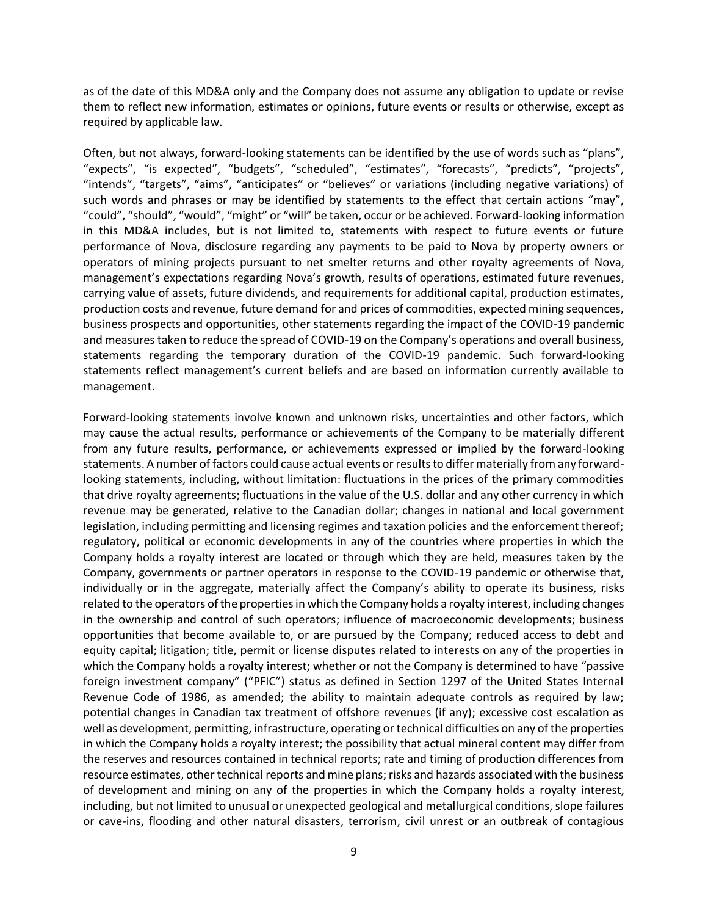as of the date of this MD&A only and the Company does not assume any obligation to update or revise them to reflect new information, estimates or opinions, future events or results or otherwise, except as required by applicable law.

Often, but not always, forward-looking statements can be identified by the use of words such as "plans", "expects", "is expected", "budgets", "scheduled", "estimates", "forecasts", "predicts", "projects", "intends", "targets", "aims", "anticipates" or "believes" or variations (including negative variations) of such words and phrases or may be identified by statements to the effect that certain actions "may", "could", "should", "would", "might" or "will" be taken, occur or be achieved. Forward-looking information in this MD&A includes, but is not limited to, statements with respect to future events or future performance of Nova, disclosure regarding any payments to be paid to Nova by property owners or operators of mining projects pursuant to net smelter returns and other royalty agreements of Nova, management's expectations regarding Nova's growth, results of operations, estimated future revenues, carrying value of assets, future dividends, and requirements for additional capital, production estimates, production costs and revenue, future demand for and prices of commodities, expected mining sequences, business prospects and opportunities, other statements regarding the impact of the COVID-19 pandemic and measures taken to reduce the spread of COVID-19 on the Company's operations and overall business, statements regarding the temporary duration of the COVID-19 pandemic. Such forward-looking statements reflect management's current beliefs and are based on information currently available to management.

Forward-looking statements involve known and unknown risks, uncertainties and other factors, which may cause the actual results, performance or achievements of the Company to be materially different from any future results, performance, or achievements expressed or implied by the forward-looking statements. A number of factors could cause actual events or results to differ materially from any forwardlooking statements, including, without limitation: fluctuations in the prices of the primary commodities that drive royalty agreements; fluctuations in the value of the U.S. dollar and any other currency in which revenue may be generated, relative to the Canadian dollar; changes in national and local government legislation, including permitting and licensing regimes and taxation policies and the enforcement thereof; regulatory, political or economic developments in any of the countries where properties in which the Company holds a royalty interest are located or through which they are held, measures taken by the Company, governments or partner operators in response to the COVID-19 pandemic or otherwise that, individually or in the aggregate, materially affect the Company's ability to operate its business, risks related to the operators of the properties in which the Company holds a royalty interest, including changes in the ownership and control of such operators; influence of macroeconomic developments; business opportunities that become available to, or are pursued by the Company; reduced access to debt and equity capital; litigation; title, permit or license disputes related to interests on any of the properties in which the Company holds a royalty interest; whether or not the Company is determined to have "passive foreign investment company" ("PFIC") status as defined in Section 1297 of the United States Internal Revenue Code of 1986, as amended; the ability to maintain adequate controls as required by law; potential changes in Canadian tax treatment of offshore revenues (if any); excessive cost escalation as well as development, permitting, infrastructure, operating or technical difficulties on any of the properties in which the Company holds a royalty interest; the possibility that actual mineral content may differ from the reserves and resources contained in technical reports; rate and timing of production differences from resource estimates, other technical reports and mine plans; risks and hazards associated with the business of development and mining on any of the properties in which the Company holds a royalty interest, including, but not limited to unusual or unexpected geological and metallurgical conditions, slope failures or cave-ins, flooding and other natural disasters, terrorism, civil unrest or an outbreak of contagious